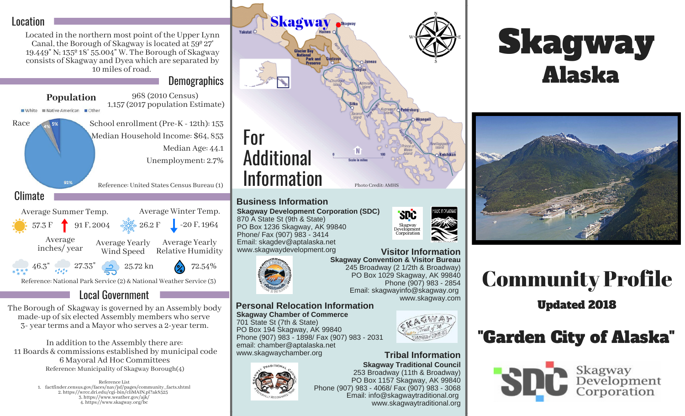#### Location

Located in the northern most point of the Upper Lynn Canal, the Borough of Skagway islocated at 59º 27' 19.449" N; 135º 18' 55.004" W. The Borough of Skagway consists of Skagway and Dyea which are separated by 10 miles of road.

**Demographics** 



#### Local Government

The Borough of Skagway is governed by an Assembly body made-up of six elected Assembly members who serve 3- year terms and a Mayor who serves a 2-year term.

In addition to the Assembly there are: 11 Boards & commissions established by municipal code 6 Mayoral Ad Hoc Committees Reference: Municipality of Skagway Borough(4)

> Reference List 1. factfinder.census.gov/faces/nav/jsf/pages/community\_facts.xhtml 2. https://wrcc.dri.edu/cgi-bin/cliMAIN.pl?ak8525 3. https://www.weather.gov/ajk/ 4. https://www.skagway.org/bc



#### **Business Information**

**Skagway Development Corporation (SDC)** 870 A State St (9th & State) PO Box 1236 Skagway, AK 99840 Phone/ Fax (907) 983 - 3414 Email: skagdev@aptalaska.net www.skagwaydevelopment.org



**Skagway Convention & Visitor Bureau** 245 Broadway (2 1/2th & Broadway) PO Box 1029 Skagway, AK 99840 Phone (907) 983 - 2854 Email: skagwayinfo@skagway.org www.skagway.com **Visitor Information**

**SPC** 

Skagway<br>Development<br>Corporation

#### **Skagway Chamber of Commerce Personal Relocation Information**

701 State St (7th & State) PO Box 194 Skagway, AK 99840 Phone (907) 983 - 1898/ Fax (907) 983 - 2031 email: chamber@aptalaska.net www.skagwaychamber.org

## AGWAY HAMBER-FCOM

#### **Tribal Information**







# Community Profile

Updated 2018

## "Garden City of Alaska"